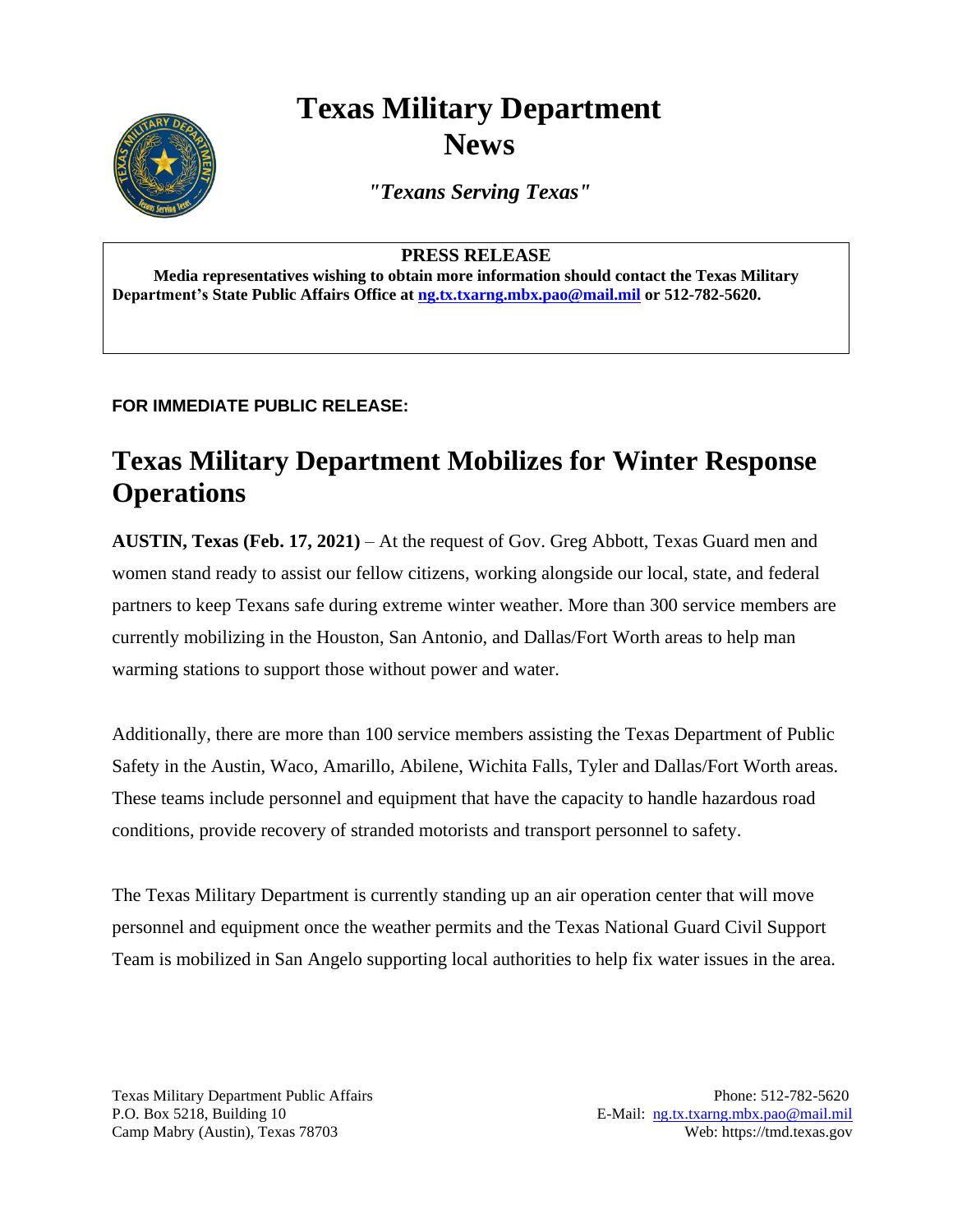# **Texas Military Department News**



*"Texans Serving Texas"*

#### **PRESS RELEASE**

**Media representatives wishing to obtain more information should contact the Texas Military Department's State Public Affairs Office a[t ng.tx.txarng.mbx.pao@mail.mil](mailto:ng.tx.txarng.mbx.pao@mail.mil) or 512-782-5620.**

### **FOR IMMEDIATE PUBLIC RELEASE:**

## **Texas Military Department Mobilizes for Winter Response Operations**

**AUSTIN, Texas (Feb. 17, 2021)** – At the request of Gov. Greg Abbott, Texas Guard men and women stand ready to assist our fellow citizens, working alongside our local, state, and federal partners to keep Texans safe during extreme winter weather. More than 300 service members are currently mobilizing in the Houston, San Antonio, and Dallas/Fort Worth areas to help man warming stations to support those without power and water.

Additionally, there are more than 100 service members assisting the Texas Department of Public Safety in the Austin, Waco, Amarillo, Abilene, Wichita Falls, Tyler and Dallas/Fort Worth areas. These teams include personnel and equipment that have the capacity to handle hazardous road conditions, provide recovery of stranded motorists and transport personnel to safety.

The Texas Military Department is currently standing up an air operation center that will move personnel and equipment once the weather permits and the Texas National Guard Civil Support Team is mobilized in San Angelo supporting local authorities to help fix water issues in the area.